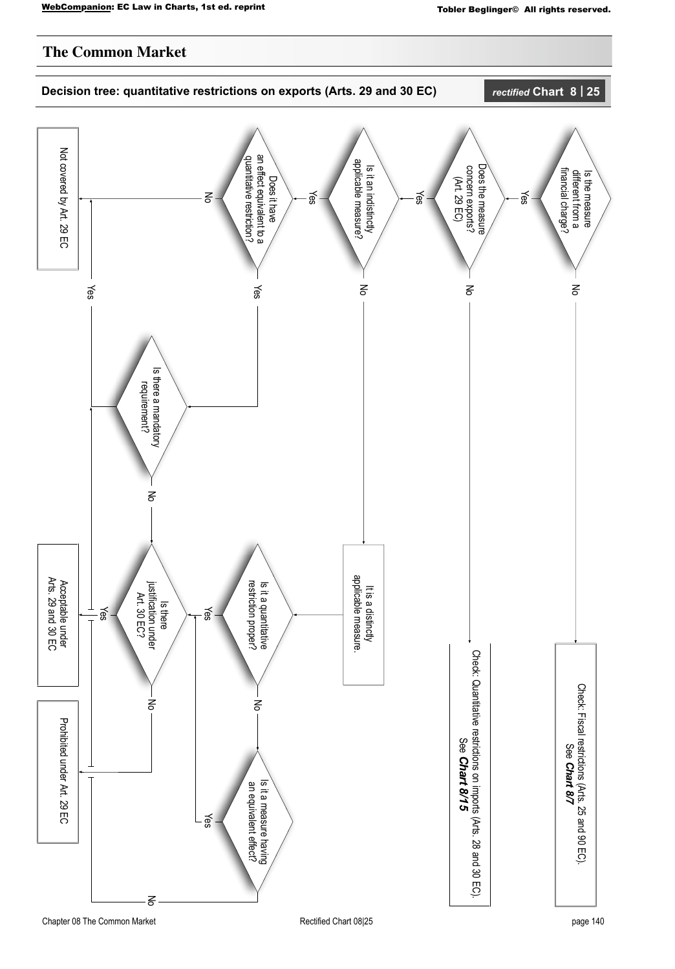## **The Common Market**